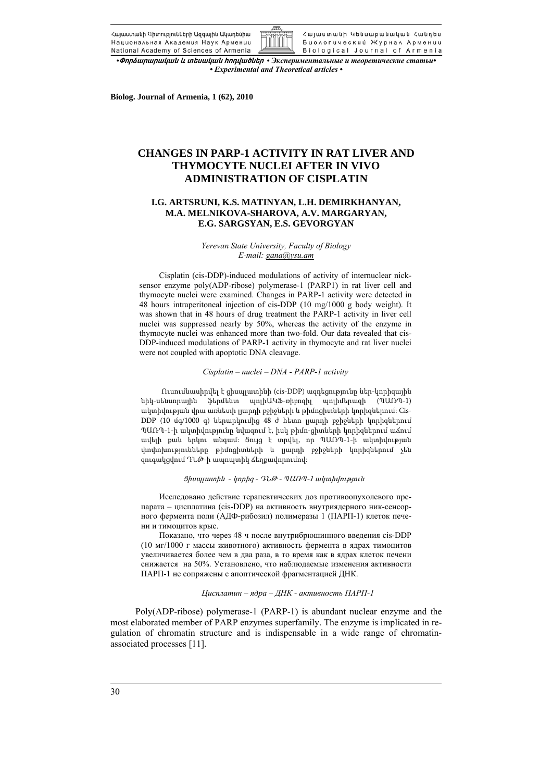![](_page_0_Picture_0.jpeg)

![](_page_0_Picture_1.jpeg)

• Фпращпициии и инищии hnnywoute • Экспериментальные и теоретические статьи *• Experimental and Theoretical articles •* 

**Biolog. Journal of Armenia, 1 (62), 2010** 

# **CHANGES IN PARP-1 ACTIVITY IN RAT LIVER AND THYMOCYTE NUCLEI AFTER IN VIVO ADMINISTRATION OF CISPLATIN**

# **I.G. ARTSRUNI, K.S. MATINYAN, L.H. DEMIRKHANYAN, M.A. MELNIKOVA-SHAROVA, A.V. MARGARYAN, E.G. SARGSYAN, E.S. GEVORGYAN**

*Yerevan State University, Faculty of Biology E-mail: gana@ysu.am*

Cisplatin (cis-DDP)-induced modulations of activity of internuclear nicksensor enzyme poly(ADP-ribose) polymerase-1 (PARP1) in rat liver cell and thymocyte nuclei were examined. Changes in PARP-1 activity were detected in 48 hours intraperitoneal injection of cis-DDP (10 mg/1000 g body weight). It was shown that in 48 hours of drug treatment the PARP-1 activity in liver cell nuclei was suppressed nearly by 50%, whereas the activity of the enzyme in thymocyte nuclei was enhanced more than two-fold. Our data revealed that cis-DDP-induced modulations of PARP-1 activity in thymocyte and rat liver nuclei were not coupled with apoptotic DNA cleavage.

# *Cisplatin – nuclei – DNA - PARP-1 activity*

Ուսումնասիրվել է ցիսպլատինի (cis-DDP) ազդեցությունը ներ-կորիզային նիկ-սենսորային ֆերմենտ պոլիԱԿՖ-ռիբոզիլ պոլիմերազի (ՊԱՌՊ-1) ակտիվության վրա առնետի լյարդի բջիջների և թիմոցիտների կորիզներում: Cis-DDP (10 մգ/1000 գ) ներարկումից 48 ժ հետո լյարդի բջիջների կորիզներում ՊԱՌՊ-1-ի ակտիվությունը նվազում է, իսկ թիմո-ցիտների կորիզներում աճում ավելի քան երկու անգամ: Ցույց է տրվել, որ ՊԱՌՊ-1-ի ակտիվության փոփոխությունները թիմոցիտների և լյարդի բջիջների կորիզներում չեն զուգակցվում ԴՆԹ-ի ապոպտիկ ճեղքավորումով:

#### Ցիսպլատին - կորիզ - ԴՆԹ - ՊԱՌՊ-1 ակտիվություն

Исследовано действие терапевтических доз противоопухолевого препарата – цисплатина (cis-DDP) на активность внутриядерного ник-сенсорного фермента поли (АДФ-рибозил) полимеразы 1 (ПАРП-1) клеток печени и тимоцитов крыс.

Показано, что через 48 ч после внутрибрюшинного введения cis-DDP (10 мг/1000 г массы животного) активность фермента в ядрах тимоцитов увеличивается более чем в два раза, в то время как в ядрах клеток печени снижается на 50%. Установлено, что наблюдаемые изменения активности ПАРП-1 не сопряжены с апоптической фрагментацией ДНК.

## *Цисплатин – ядра – ДНК - активность ПАРП-1*

Poly(ADP-ribose) polymerase-1 (PARP-1) is abundant nuclear enzyme and the most elaborated member of PARP enzymes superfamily. The enzyme is implicated in regulation of chromatin structure and is indispensable in a wide range of chromatinassociated processes [11].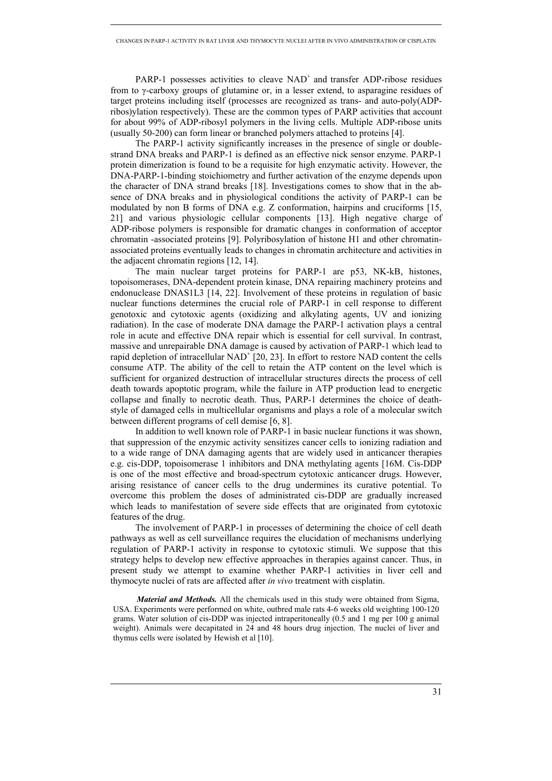PARP-1 possesses activities to cleave NAD+ and transfer ADP-ribose residues from to γ-carboxy groups of glutamine or, in a lesser extend, to asparagine residues of target proteins including itself (processes are recognized as trans- and auto-poly(ADPribos)ylation respectively). These are the common types of PARP activities that account for about 99% of ADP-ribosyl polymers in the living cells. Multiple ADP-ribose units (usually 50-200) can form linear or branched polymers attached to proteins [4].

The PARP-1 activity significantly increases in the presence of single or doublestrand DNA breaks and PARP-1 is defined as an effective nick sensor enzyme. PARP-1 protein dimerization is found to be a requisite for high enzymatic activity. However, the DNA-PARP-1-binding stoichiometry and further activation of the enzyme depends upon the character of DNA strand breaks [18]. Investigations comes to show that in the absence of DNA breaks and in physiological conditions the activity of PARP-1 can be modulated by non B forms of DNA e.g. Z conformation, hairpins and cruciforms [15, 21] and various physiologic cellular components [13]. High negative charge of ADP-ribose polymers is responsible for dramatic changes in conformation of acceptor chromatin -associated proteins [9]. Polyribosylation of histone H1 and other chromatinassociated proteins eventually leads to changes in chromatin architecture and activities in the adjacent chromatin regions [12, 14].

The main nuclear target proteins for PARP-1 are p53, NK-kB, histones, topoisomerases, DNA-dependent protein kinase, DNA repairing machinery proteins and endonuclease DNAS1L3 [14, 22]. Involvement of these proteins in regulation of basic nuclear functions determines the crucial role of PARP-1 in cell response to different genotoxic and cytotoxic agents (oxidizing and alkylating agents, UV and ionizing radiation). In the case of moderate DNA damage the PARP-1 activation plays a central role in acute and effective DNA repair which is essential for cell survival. In contrast, massive and unrepairable DNA damage is caused by activation of PARP-1 which lead to rapid depletion of intracellular  $NAD^+$  [20, 23]. In effort to restore NAD content the cells consume ATP. The ability of the cell to retain the ATP content on the level which is sufficient for organized destruction of intracellular structures directs the process of cell death towards apoptotic program, while the failure in ATP production lead to energetic collapse and finally to necrotic death. Thus, PARP-1 determines the choice of deathstyle of damaged cells in multicellular organisms and plays a role of a molecular switch between different programs of cell demise [6, 8].

In addition to well known role of PARP-1 in basic nuclear functions it was shown, that suppression of the enzymic activity sensitizes cancer cells to ionizing radiation and to a wide range of DNA damaging agents that are widely used in anticancer therapies e.g. cis-DDP, topoisomerase 1 inhibitors and DNA methylating agents [16М. Cis-DDP is one of the most effective and broad-spectrum cytotoxic anticancer drugs. However, arising resistance of cancer cells to the drug undermines its curative potential. To overcome this problem the doses of administrated cis-DDP are gradually increased which leads to manifestation of severe side effects that are originated from cytotoxic features of the drug.

The involvement of PARP-1 in processes of determining the choice of cell death pathways as well as cell surveillance requires the elucidation of mechanisms underlying regulation of PARP-1 activity in response to cytotoxic stimuli. We suppose that this strategy helps to develop new effective approaches in therapies against cancer. Thus, in present study we attempt to examine whether PARP-1 activities in liver cell and thymocyte nuclei of rats are affected after *in vivo* treatment with cisplatin.

*Material and Methods.* All the chemicals used in this study were obtained from Sigma, USA. Experiments were performed on white, outbred male rats 4-6 weeks old weighting 100-120 grams. Water solution of cis-DDP was injected intraperitoneally (0.5 and 1 mg per 100 g animal weight). Animals were decapitated in 24 and 48 hours drug injection. The nuclei of liver and thymus cells were isolated by Hewish et al [10].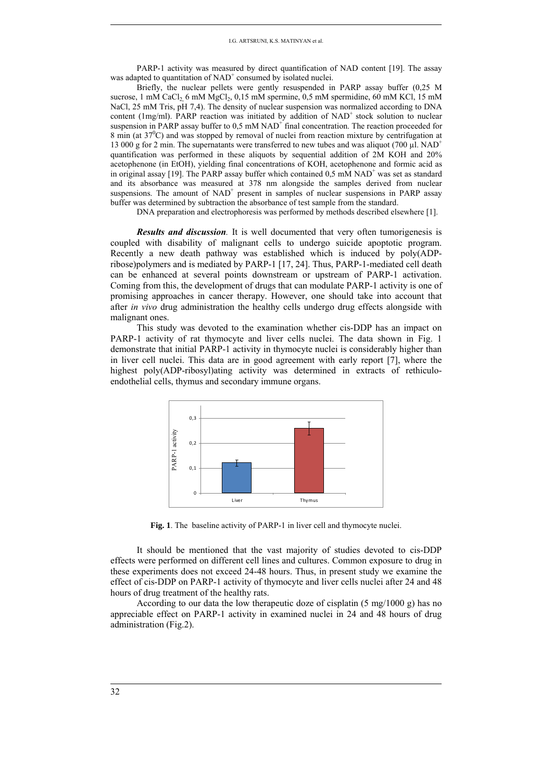PARP-1 activity was measured by direct quantification of NAD content [19]. The assay was adapted to quantitation of  $NAD<sup>+</sup>$  consumed by isolated nuclei.

Briefly, the nuclear pellets were gently resuspended in PARP assay buffer (0,25 M sucrose, 1 mM CaCl<sub>2</sub> 6 mM MgCl<sub>2</sub>,  $0,15$  mM spermine,  $0,5$  mM spermidine, 60 mM KCl, 15 mM NaCl, 25 mM Tris, pH 7,4). The density of nuclear suspension was normalized according to DNA content (1mg/ml). PARP reaction was initiated by addition of  $NAD<sup>+</sup>$  stock solution to nuclear suspension in PARP assay buffer to  $0.5 \text{ mM NAD}^+$  final concentration. The reaction proceeded for  $8 \text{ min}$  (at  $37\text{°C}$ ) and was stopped by removal of nuclei from reaction mixture by centrifugation at 13 000 g for 2 min. The supernatants were transferred to new tubes and was aliquot (700  $\mu$ l. NAD<sup>+</sup> quantification was performed in these aliquots by sequential addition of 2M KOH and 20% acetophenone (in EtOH), yielding final concentrations of KOH, acetophenone and formic acid as in original assay [19]. The PARP assay buffer which contained  $0.5 \text{ mM NAD}^+$  was set as standard and its absorbance was measured at 378 nm alongside the samples derived from nuclear suspensions. The amount of  $NAD<sup>+</sup>$  present in samples of nuclear suspensions in PARP assay buffer was determined by subtraction the absorbance of test sample from the standard.

DNA preparation and electrophoresis was performed by methods described elsewhere [1].

*Results and discussion.* It is well documented that very often tumorigenesis is coupled with disability of malignant cells to undergo suicide apoptotic program. Recently a new death pathway was established which is induced by poly(ADPribose)polymers and is mediated by PARP-1 [17, 24]. Thus, PARP-1-mediated cell death can be enhanced at several points downstream or upstream of PARP-1 activation. Coming from this, the development of drugs that can modulate PARP-1 activity is one of promising approaches in cancer therapy. However, one should take into account that after *in vivo* drug administration the healthy cells undergo drug effects alongside with malignant ones.

This study was devoted to the examination whether cis-DDP has an impact on PARP-1 activity of rat thymocyte and liver cells nuclei. The data shown in Fig. 1 demonstrate that initial PARP-1 activity in thymocyte nuclei is considerably higher than in liver cell nuclei. This data are in good agreement with early report [7], where the highest poly(ADP-ribosyl)ating activity was determined in extracts of rethiculoendothelial cells, thymus and secondary immune organs.

![](_page_2_Figure_6.jpeg)

**Fig. 1**. The baseline activity of PARP-1 in liver cell and thymocyte nuclei.

It should be mentioned that the vast majority of studies devoted to cis-DDP effects were performed on different cell lines and cultures. Common exposure to drug in these experiments does not exceed 24-48 hours. Thus, in present study we examine the effect of cis-DDP on PARP-1 activity of thymocyte and liver cells nuclei after 24 and 48 hours of drug treatment of the healthy rats.

According to our data the low therapeutic doze of cisplatin (5 mg/1000 g) has no appreciable effect on PARP-1 activity in examined nuclei in 24 and 48 hours of drug administration (Fig.2).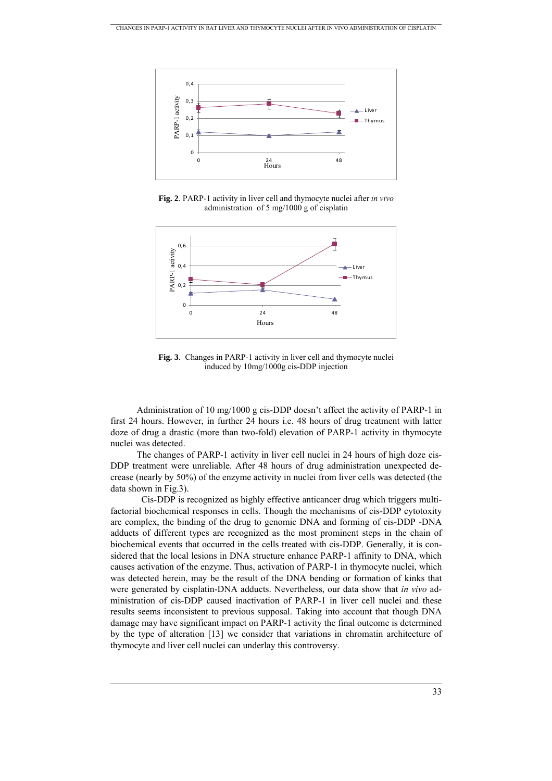![](_page_3_Figure_1.jpeg)

**Fig. 2**. PARP-1 activity in liver cell and thymocyte nuclei after *in vivo* administration of 5 mg/1000 g of cisplatin

![](_page_3_Figure_3.jpeg)

**Fig. 3**. Changes in PARP-1 activity in liver cell and thymocyte nuclei induced by 10mg/1000g cis-DDP injection

Administration of 10 mg/1000 g cis-DDP doesn't affect the activity of PARP-1 in first 24 hours. However, in further 24 hours i.e. 48 hours of drug treatment with latter doze of drug a drastic (more than two-fold) elevation of PARP-1 activity in thymocyte nuclei was detected.

The changes of PARP-1 activity in liver cell nuclei in 24 hours of high doze cis-DDP treatment were unreliable. After 48 hours of drug administration unexpected decrease (nearly by 50%) of the enzyme activity in nuclei from liver cells was detected (the data shown in Fig.3).

 Cis-DDP is recognized as highly effective anticancer drug which triggers multifactorial biochemical responses in cells. Though the mechanisms of cis-DDP cytotoxity are complex, the binding of the drug to genomic DNA and forming of cis-DDP -DNA adducts of different types are recognized as the most prominent steps in the chain of biochemical events that occurred in the cells treated with cis-DDP. Generally, it is considered that the local lesions in DNA structure enhance PARP-1 affinity to DNA, which causes activation of the enzyme. Thus, activation of PARP-1 in thymocyte nuclei, which was detected herein, may be the result of the DNA bending or formation of kinks that were generated by cisplatin-DNA adducts. Nevertheless, our data show that *in vivo* administration of cis-DDP caused inactivation of PARP-1 in liver cell nuclei and these results seems inconsistent to previous supposal. Taking into account that though DNA damage may have significant impact on PARP-1 activity the final outcome is determined by the type of alteration [13] we consider that variations in chromatin architecture of thymocyte and liver cell nuclei can underlay this controversy.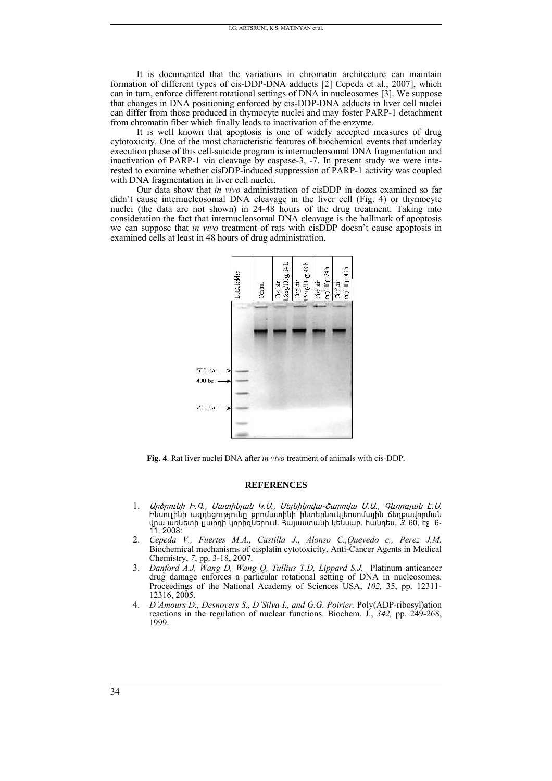It is documented that the variations in chromatin architecture can maintain formation of different types of cis-DDP-DNA adducts [2] Cepeda et al., 2007], which can in turn, enforce different rotational settings of DNA in nucleosomes [3]. We suppose that changes in DNA positioning enforced by cis-DDP-DNA adducts in liver cell nuclei can differ from those produced in thymocyte nuclei and may foster PARP-1 detachment from chromatin fiber which finally leads to inactivation of the enzyme.

It is well known that apoptosis is one of widely accepted measures of drug cytotoxicity. One of the most characteristic features of biochemical events that underlay execution phase of this cell-suicide program is internucleosomal DNA fragmentation and inactivation of PARP-1 via cleavage by caspase-3, -7. In present study we were interested to examine whether cisDDP-induced suppression of PARP-1 activity was coupled with DNA fragmentation in liver cell nuclei.

Our data show that *in vivo* administration of cisDDP in dozes examined so far didn't cause internucleosomal DNA cleavage in the liver cell (Fig. 4) or thymocyte nuclei (the data are not shown) in 24-48 hours of the drug treatment. Taking into consideration the fact that internucleosomal DNA cleavage is the hallmark of apoptosis we can suppose that *in vivo* treatment of rats with cisDDP doesn't cause apoptosis in examined cells at least in 48 hours of drug administration.

![](_page_4_Figure_4.jpeg)

Fig. 4. Rat liver nuclei DNA after *in vivo* treatment of animals with cis-DDP.

### **REFERENCES**

- Unonnuh h. 9., Մատինյան Կ. Ս., Մելնիկովա-Շարովա Մ. Ա., Գևորգյան Է. Ս.  $\mathbf{1}$ Ինսուլինի ազդեցությունը քրոմատինի ինտերնուկլեոսոմային ճեղքավորման վրա առնետի լյարդի կորիզներում. հայաստանի կենսաբ. հանդես, 3, 60, էջ 6-11, 2008:
- 2. Cepeda V., Fuertes M.A., Castilla J., Alonso C., Quevedo c., Perez J.M. Biochemical mechanisms of cisplatin cytotoxicity. Anti-Cancer Agents in Medical Chemistry, 7, pp. 3-18, 2007.
- 3. Danford A.J, Wang D, Wang Q, Tullius T.D, Lippard S.J. Platinum anticancer drug damage enforces a particular rotational setting of DNA in nucleosomes. Proceedings of the National Academy of Sciences USA, 102, 35, pp. 12311-12316, 2005.
- 4. D'Amours D., Desnoyers S., D'Silva I., and G.G. Poirier. Poly(ADP-ribosyl)ation reactions in the regulation of nuclear functions. Biochem. J., 342, pp. 249-268, 1999.